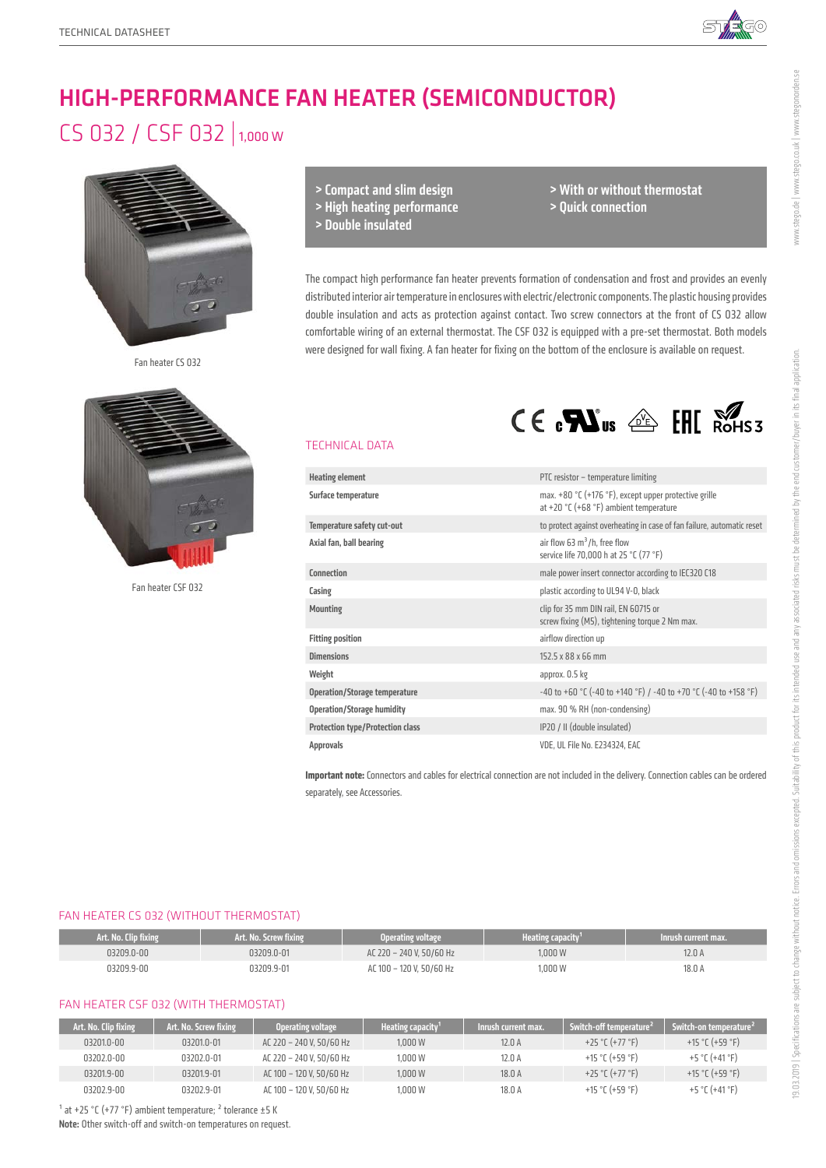

# HIGH-PERFORMANCE FAN HEATER (SEMICONDUCTOR)

# CS 032 / CSF 032 | 1,000 W



Fan heater CS 032



Fan heater CSF 032

> Compact and slim design

> High heating performance

> Double insulated

> With or without thermostat > Quick connection

 $CE \cdot \mathbf{M}$ us  $\triangleq$  FHI Rohss

The compact high performance fan heater prevents formation of condensation and frost and provides an evenly distributed interior air temperature in enclosures with electric/electronic components. The plastic housing provides double insulation and acts as protection against contact. Two screw connectors at the front of CS 032 allow comfortable wiring of an external thermostat. The CSF 032 is equipped with a pre-set thermostat. Both models were designed for wall fixing. A fan heater for fixing on the bottom of the enclosure is available on request.

### TECHNICAL DATA

| <b>Heating element</b>                  | PTC resistor - temperature limiting                                                                       |
|-----------------------------------------|-----------------------------------------------------------------------------------------------------------|
| Surface temperature                     | max. $+80$ °C ( $+176$ °F), except upper protective grille<br>at +20 $°C$ (+68 $°F$ ) ambient temperature |
| Temperature safety cut-out              | to protect against overheating in case of fan failure, automatic reset                                    |
| Axial fan, ball bearing                 | air flow 63 $m^3/h$ , free flow<br>service life 70,000 h at 25 °C (77 °F)                                 |
| Connection                              | male power insert connector according to IEC320 C18                                                       |
| Casing                                  | plastic according to UL94 V-0, black                                                                      |
| <b>Mounting</b>                         | clip for 35 mm DIN rail, EN 60715 or<br>screw fixing (M5), tightening torque 2 Nm max.                    |
| <b>Fitting position</b>                 | airflow direction up                                                                                      |
| <b>Dimensions</b>                       | 152.5 x 88 x 66 mm                                                                                        |
| Weight                                  | approx. 0.5 kg                                                                                            |
| <b>Operation/Storage temperature</b>    | -40 to +60 °C (-40 to +140 °F) / -40 to +70 °C (-40 to +158 °F)                                           |
| <b>Operation/Storage humidity</b>       | max. 90 % RH (non-condensing)                                                                             |
| <b>Protection type/Protection class</b> | IP20 / II (double insulated)                                                                              |
| <b>Approvals</b>                        | VDE, UL File No. E234324, EAC                                                                             |

**Important note:** Connectors and cables for electrical connection are not included in the delivery. Connection cables can be ordered separately, see Accessories.

#### FAN HEATER CS 032 (WITHOUT THERMOSTAT)

| Art. No. Clip fixing | Art. No. Screw fixing | Operating voltage        | 'Heating capacity' | Inrush current max. |
|----------------------|-----------------------|--------------------------|--------------------|---------------------|
| 03209.0-00           | 03209.0-01            | AC 220 - 240 V. 50/60 Hz | 1.000 W            | 12.0 A              |
| 03209.9-00           | 03209.9-01            | AC 100 - 120 V. 50/60 Hz | 1.000 W            | 18.0 A              |

#### FAN HEATER CSF 032 (WITH THERMOSTAT)

| Art. No. Clip fixing | Art. No. Screw fixing | Operating voltage        | Heating capacity <sup>1</sup> | Inrush current max. . | Switch-off temperature <sup>2</sup> | Switch-on temperature <sup>2</sup> |
|----------------------|-----------------------|--------------------------|-------------------------------|-----------------------|-------------------------------------|------------------------------------|
| 03201.0-00           | 03201.0-01            | AC 220 - 240 V. 50/60 Hz | 1.000W                        | 12.0A                 | +25 °C (+77 °F)                     | +15 °C (+59 °F)                    |
| 03202.0-00           | 03202.0-01            | AC 220 - 240 V. 50/60 Hz | 1.000W                        | 12.0 A                | +15 °C (+59 °F)                     | +5 °C (+41 °F)                     |
| 03201.9-00           | 03201.9-01            | AC 100 - 120 V. 50/60 Hz | 1.000W                        | 18.0 A                | +25 °C (+77 °F)                     | +15 °C (+59 °F)                    |
| 03202.9-00           | 03202.9-01            | AC 100 - 120 V. 50/60 Hz | 1.000W                        | 18.0 A                | +15 °C (+59 °F)                     | +5 °C (+41 °F)                     |

 $1$  at +25 °C (+77 °F) ambient temperature;  $2$  tolerance  $\pm$ 5 K

Note: Other switch-off and switch-on temperatures on request.